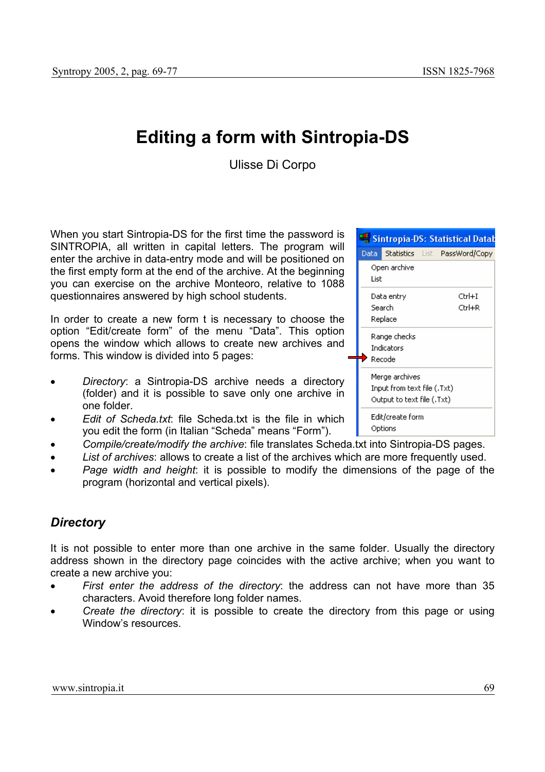# **Editing a form with Sintropia-DS**

Ulisse Di Corpo

When you start Sintropia-DS for the first time the password is SINTROPIA, all written in capital letters. The program will enter the archive in data-entry mode and will be positioned on the first empty form at the end of the archive. At the beginning you can exercise on the archive Monteoro, relative to 1088 questionnaires answered by high school students.

In order to create a new form t is necessary to choose the option "Edit/create form" of the menu "Data". This option opens the window which allows to create new archives and forms. This window is divided into 5 pages:

- *Directory*: a Sintropia-DS archive needs a directory (folder) and it is possible to save only one archive in one folder.
- *Edit of Scheda.txt*: file Scheda.txt is the file in which you edit the form (in Italian "Scheda" means "Form").
- *Compile/create/modify the archive*: file translates Scheda.txt into Sintropia-DS pages.
- *List of archives*: allows to create a list of the archives which are more frequently used.
- *Page width and height*: it is possible to modify the dimensions of the page of the program (horizontal and vertical pixels).

## *Directory*

It is not possible to enter more than one archive in the same folder. Usually the directory address shown in the directory page coincides with the active archive; when you want to create a new archive you:

- *First enter the address of the directory*: the address can not have more than 35 characters. Avoid therefore long folder names.
- *Create the directory*: it is possible to create the directory from this page or using Window's resources.

|                             |                            |  | Sintropia-DS: Statistical Datab |
|-----------------------------|----------------------------|--|---------------------------------|
| Data i                      | <b>Statistics</b> List     |  | PassWord/Copy                   |
| Open archive                |                            |  |                                 |
| List                        |                            |  |                                 |
|                             | Data entry                 |  | Ctrl+I                          |
|                             | Search                     |  | Ctrl+R                          |
| Replace                     |                            |  |                                 |
| Range checks                |                            |  |                                 |
| Indicators                  |                            |  |                                 |
|                             | Recode                     |  |                                 |
|                             | Merge archives             |  |                                 |
| Input from text file (.Txt) |                            |  |                                 |
|                             | Output to text file (.Txt) |  |                                 |
|                             | Edit/create form           |  |                                 |
|                             | Options                    |  |                                 |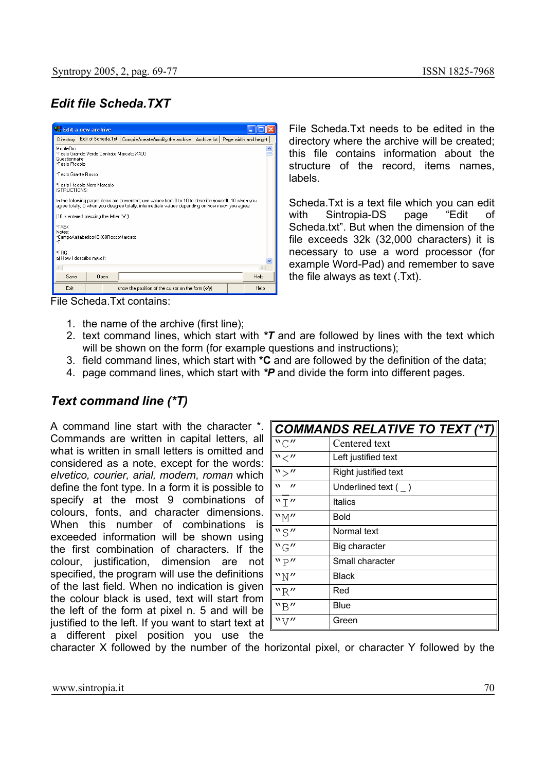## *Edit file Scheda.TXT*



File Scheda.Txt needs to be edited in the directory where the archive will be created; this file contains information about the structure of the record, items names, labels.

Scheda.Txt is a text file which you can edit with Sintropia-DS page "Edit of Scheda.txt". But when the dimension of the file exceeds 32k (32,000 characters) it is necessary to use a word processor (for example Word-Pad) and remember to save the file always as text (.Txt).

File Scheda.Txt contains:

- 1. the name of the archive (first line);
- 2. text command lines, which start with *\*T* and are followed by lines with the text which will be shown on the form (for example questions and instructions);
- 3. field command lines, which start with **\*C** and are followed by the definition of the data;
- 4. page command lines, which start with *\*P* and divide the form into different pages.

### *Text command line (\*T)*

A command line start with the character \*. Commands are written in capital letters, all what is written in small letters is omitted and considered as a note, except for the words: *elvetico, courier, arial, modern, roman* which define the font type. In a form it is possible to specify at the most 9 combinations of colours, fonts, and character dimensions. When this number of combinations is exceeded information will be shown using the first combination of characters. If the colour, justification, dimension are not specified, the program will use the definitions of the last field. When no indication is given the colour black is used, text will start from the left of the form at pixel n. 5 and will be justified to the left. If you want to start text at a different pixel position you use the

| <b>COMMANDS RELATIVE TO TEXT (*T) </b> |                         |  |
|----------------------------------------|-------------------------|--|
| "C"                                    | Centered text           |  |
| $"$ $\lt$ $''$                         | Left justified text     |  |
| $^{\prime\prime}$                      | Right justified text    |  |
| $\mathbf{v}$<br>$^{\prime}$            | Underlined text $($ $)$ |  |
| "T"                                    | <b>Italics</b>          |  |
| "M"                                    | Bold                    |  |
| "S"                                    | Normal text             |  |
| "G"                                    | Big character           |  |
| "P"                                    | Small character         |  |
| "N"                                    | Black                   |  |
| "R"                                    | Red                     |  |
| "R"                                    | Blue                    |  |
| $W\setminus\mathcal{V}''$              | Green                   |  |

character X followed by the number of the horizontal pixel, or character Y followed by the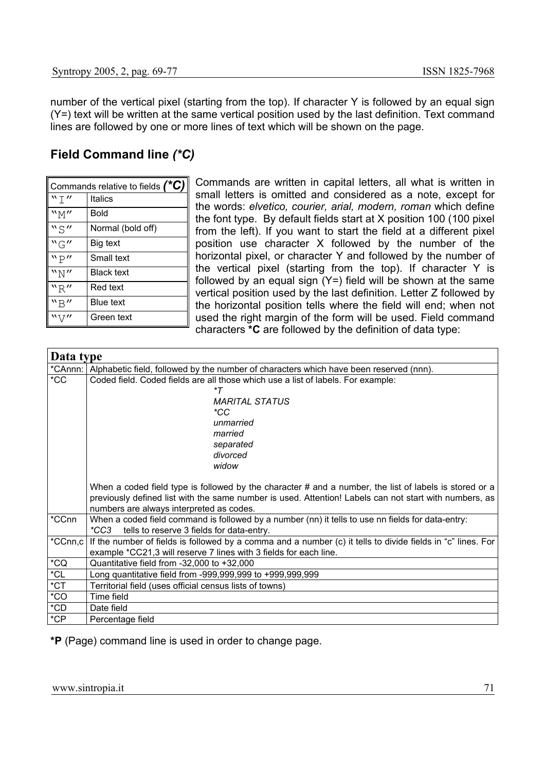number of the vertical pixel (starting from the top). If character Y is followed by an equal sign (Y=) text will be written at the same vertical position used by the last definition. Text command lines are followed by one or more lines of text which will be shown on the page.

## **Field Command line** *(\*C)*

| Commands relative to fields $(*C)$ |                   |  |
|------------------------------------|-------------------|--|
| "T"                                | <b>Italics</b>    |  |
| ``M''                              | Bold              |  |
| "S"                                | Normal (bold off) |  |
| "G"                                | Big text          |  |
| "P"                                | Small text        |  |
| ``N''                              | <b>Black text</b> |  |
| "R"                                | Red text          |  |
| "B"                                | <b>Blue text</b>  |  |
|                                    | Green text        |  |

Commands are written in capital letters, all what is written in small letters is omitted and considered as a note, except for the words: *elvetico, courier, arial, modern, roman* which define the font type. By default fields start at X position 100 (100 pixel from the left). If you want to start the field at a different pixel position use character X followed by the number of the horizontal pixel, or character Y and followed by the number of the vertical pixel (starting from the top). If character Y is followed by an equal sign  $(Y=)$  field will be shown at the same vertical position used by the last definition. Letter Z followed by the horizontal position tells where the field will end; when not used the right margin of the form will be used. Field command characters **\*C** are followed by the definition of data type:

| Data type     |                                                                                                                                                                                                                                                                |  |  |
|---------------|----------------------------------------------------------------------------------------------------------------------------------------------------------------------------------------------------------------------------------------------------------------|--|--|
| *CAnnn:       | Alphabetic field, followed by the number of characters which have been reserved (nnn).                                                                                                                                                                         |  |  |
| $*CC$         | Coded field. Coded fields are all those which use a list of labels. For example:                                                                                                                                                                               |  |  |
|               | *T                                                                                                                                                                                                                                                             |  |  |
|               | <b>MARITAL STATUS</b>                                                                                                                                                                                                                                          |  |  |
|               | $*CC$                                                                                                                                                                                                                                                          |  |  |
|               | unmarried                                                                                                                                                                                                                                                      |  |  |
|               | married                                                                                                                                                                                                                                                        |  |  |
|               | separated                                                                                                                                                                                                                                                      |  |  |
|               | divorced                                                                                                                                                                                                                                                       |  |  |
|               | widow                                                                                                                                                                                                                                                          |  |  |
|               | When a coded field type is followed by the character $#$ and a number, the list of labels is stored or a<br>previously defined list with the same number is used. Attention! Labels can not start with numbers, as<br>numbers are always interpreted as codes. |  |  |
| *CCnn         | When a coded field command is followed by a number (nn) it tells to use nn fields for data-entry:<br>tells to reserve 3 fields for data-entry.<br>*CC3                                                                                                         |  |  |
| *CCnn,c       | If the number of fields is followed by a comma and a number (c) it tells to divide fields in "c" lines. For                                                                                                                                                    |  |  |
|               | example *CC21,3 will reserve 7 lines with 3 fields for each line.                                                                                                                                                                                              |  |  |
| $^{\star}$ CQ | Quantitative field from $-32,000$ to $+32,000$                                                                                                                                                                                                                 |  |  |
| $^{\star}$ CL | Long quantitative field from -999,999,999 to +999,999,999                                                                                                                                                                                                      |  |  |
| $*$ CT        | Territorial field (uses official census lists of towns)                                                                                                                                                                                                        |  |  |
| $*CO$         | Time field                                                                                                                                                                                                                                                     |  |  |
| $^{\star}CD$  | Date field                                                                                                                                                                                                                                                     |  |  |
| $^{\ast}CP$   | Percentage field                                                                                                                                                                                                                                               |  |  |

**\*P** (Page) command line is used in order to change page.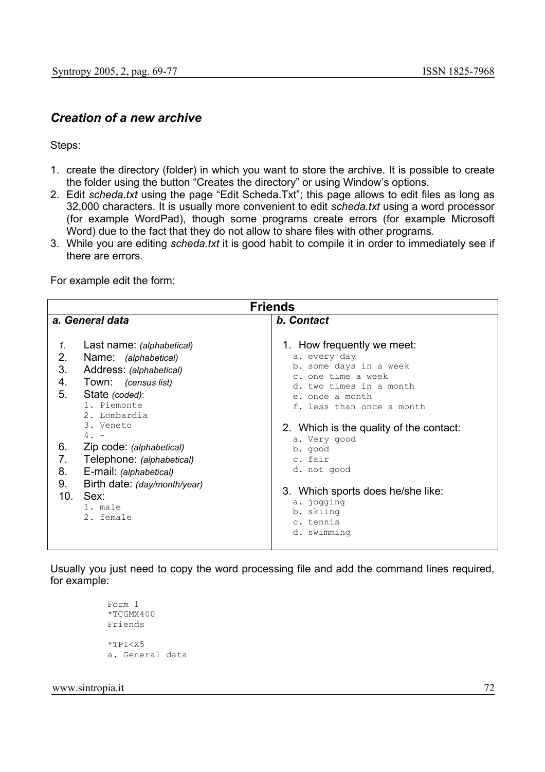### *Creation of a new archive*

Steps:

- 1. create the directory (folder) in which you want to store the archive. It is possible to create the folder using the button "Creates the directory" or using Window's options.
- 2. Edit *scheda.txt* using the page "Edit Scheda.Txt"; this page allows to edit files as long as 32,000 characters. It is usually more convenient to edit *scheda.txt* using a word processor (for example WordPad), though some programs create errors (for example Microsoft Word) due to the fact that they do not allow to share files with other programs.
- 3. While you are editing *scheda.txt* it is good habit to compile it in order to immediately see if there are errors.

For example edit the form:

| <b>Friends</b>                                                                                                                                                                                                                                                                                                                                                    |  |  |
|-------------------------------------------------------------------------------------------------------------------------------------------------------------------------------------------------------------------------------------------------------------------------------------------------------------------------------------------------------------------|--|--|
| <b>b.</b> Contact                                                                                                                                                                                                                                                                                                                                                 |  |  |
| 1. How frequently we meet:<br>a. every day<br>b. some days in a week<br>c. one time a week<br>d. two times in a month<br>e. once a month<br>f. less than once a month<br>2. Which is the quality of the contact:<br>a. Very good<br>b. good<br>c. fair<br>d. not good<br>3. Which sports does he/she like:<br>a. jogging<br>b. skiing<br>c. tennis<br>d. swimming |  |  |
|                                                                                                                                                                                                                                                                                                                                                                   |  |  |

Usually you just need to copy the word processing file and add the command lines required, for example:

```
Form 1 
*TCGMX400 
Friends 
*TPI<X5 
a. General data
```
www.sintropia.it 72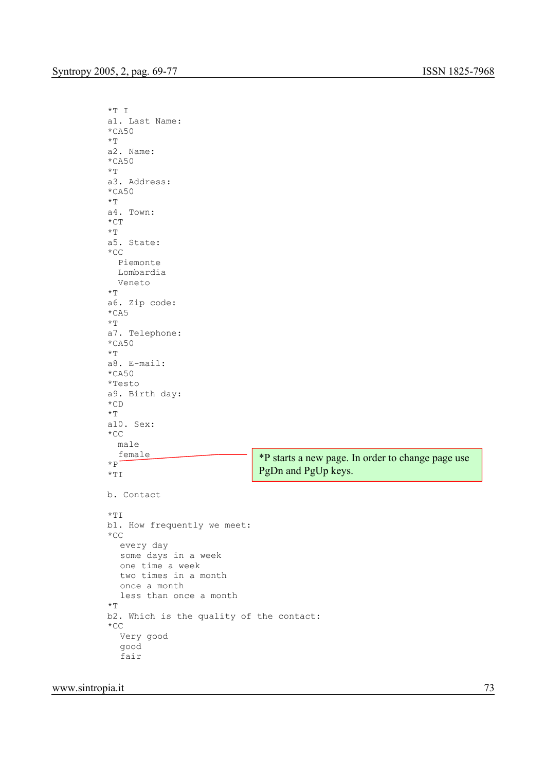```
*T I 
a1. Last Name: 
*CA50
*Ta2. Name: 
*CA50 
*Ta3. Address: 
*CA50
* T
a4. Town: 
*CT 
\star T
a5. State: 
*CC 
   Piemonte 
   Lombardia 
   Veneto 
*Ta6. Zip code: 
*CA5 
*Ta7. Telephone: 
*CA50
*Ta8. E-mail: 
*CA50
*Testo 
a9. Birth day: 
\star CD
\star T
a10. Sex: 
\starCC
  male 
  female 
*p^-*TI
b. Contact 
* TI
b1. How frequently we meet: 
*CC 
  every day 
  some days in a week 
  one time a week 
  two times in a month 
  once a month 
   less than once a month 
\starT
b2. Which is the quality of the contact: 
\star CC
  Very good 
  good 
   fair 
                                  *P starts a new page. In order to change page use 
                                  PgDn and PgUp keys.
```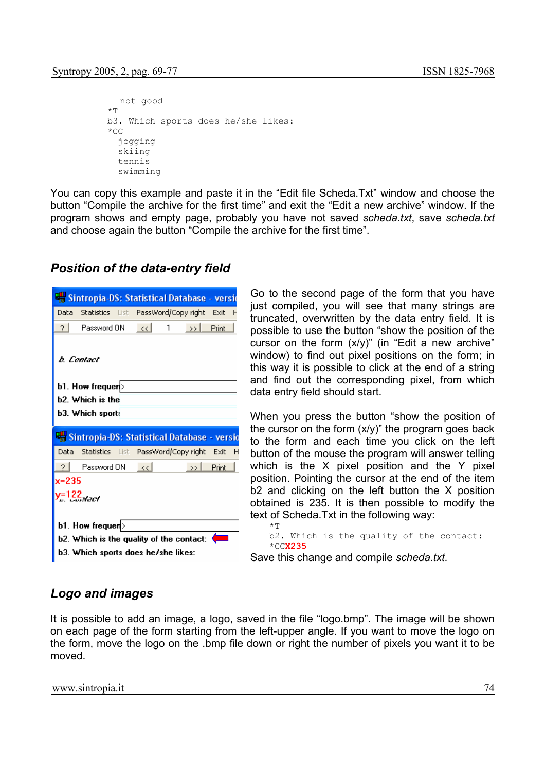```
not good 
\starTT
b3. Which sports does he/she likes: 
*CC jogging 
   skiing 
   tennis 
   swimming
```
You can copy this example and paste it in the "Edit file Scheda.Txt" window and choose the button "Compile the archive for the first time" and exit the "Edit a new archive" window. If the program shows and empty page, probably you have not saved *scheda.txt*, save *scheda.txt* and choose again the button "Compile the archive for the first time".

## *Position of the data-entry field*

|         | <b>Sintropia-DS: Statistical Database - versi</b> d |                        |   |                     |        |   |
|---------|-----------------------------------------------------|------------------------|---|---------------------|--------|---|
| Data    | Statistics List                                     |                        |   | PassWord/Copy right | – Exit |   |
| 21      | Password ON                                         | $\prec$ $\prec$ $\mid$ | 1 | $\rightarrow$       | Print  |   |
|         | b. Contact<br>b1. How frequer(>                     |                        |   |                     |        |   |
|         | b2. Which is the                                    |                        |   |                     |        |   |
|         | <b>b3. Which sport:</b>                             |                        |   |                     |        |   |
|         |                                                     |                        |   |                     |        |   |
|         | <b>Experimental Statistical Database - versio</b>   |                        |   |                     |        |   |
| Data    | - Statistics - List - PassWord/Copy right - Exit    |                        |   |                     |        | н |
|         | Password ON                                         | $\ll$                  |   | $\rightarrow$       | Print  |   |
| $x=235$ |                                                     |                        |   |                     |        |   |
|         | $=122$ <sub>atac</sub> h                            |                        |   |                     |        |   |
|         |                                                     |                        |   |                     |        |   |
|         | b1. How frequer(>                                   |                        |   |                     |        |   |
|         | b2. Which is the quality of the contact:            |                        |   |                     |        |   |

Go to the second page of the form that you have just compiled, you will see that many strings are truncated, overwritten by the data entry field. It is possible to use the button "show the position of the cursor on the form  $(x/y)$ " (in "Edit a new archive" window) to find out pixel positions on the form; in this way it is possible to click at the end of a string and find out the corresponding pixel, from which data entry field should start.

When you press the button "show the position of the cursor on the form (x/y)" the program goes back to the form and each time you click on the left button of the mouse the program will answer telling which is the X pixel position and the Y pixel position. Pointing the cursor at the end of the item b2 and clicking on the left button the X position obtained is 235. It is then possible to modify the text of Scheda.Txt in the following way:  $\star$ T

b2. Which is the quality of the contact: \*CC**X235**

Save this change and compile *scheda.txt*.

## *Logo and images*

It is possible to add an image, a logo, saved in the file "logo.bmp". The image will be shown on each page of the form starting from the left-upper angle. If you want to move the logo on the form, move the logo on the .bmp file down or right the number of pixels you want it to be moved.

www.sintropia.it 74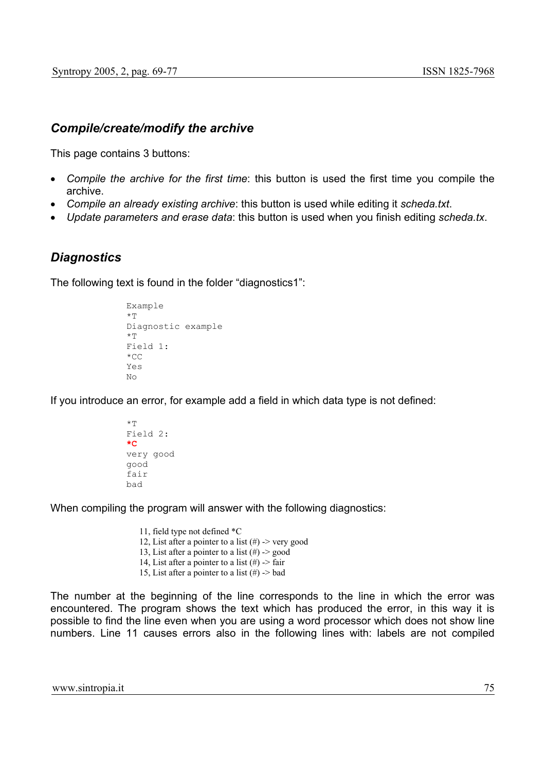#### *Compile/create/modify the archive*

This page contains 3 buttons:

- *Compile the archive for the first time*: this button is used the first time you compile the archive.
- *Compile an already existing archive*: this button is used while editing it *scheda.txt*.
- *Update parameters and erase data*: this button is used when you finish editing *scheda.tx*.

#### *Diagnostics*

The following text is found in the folder "diagnostics1":

```
Example 
\starT
Diagnostic example 
\starT
Field 1: 
*CC 
Y \cap SNo
```
If you introduce an error, for example add a field in which data type is not defined:

```
\starT
Field 2: 
*C
very good 
good 
fair 
bad
```
When compiling the program will answer with the following diagnostics:

 11, field type not defined \*C 12, List after a pointer to a list  $(\#)$  -> very good 13, List after a pointer to a list  $(\#)$  -> good 14, List after a pointer to a list  $(\#)$  -> fair 15, List after a pointer to a list  $(\#)$  -> bad

The number at the beginning of the line corresponds to the line in which the error was encountered. The program shows the text which has produced the error, in this way it is possible to find the line even when you are using a word processor which does not show line numbers. Line 11 causes errors also in the following lines with: labels are not compiled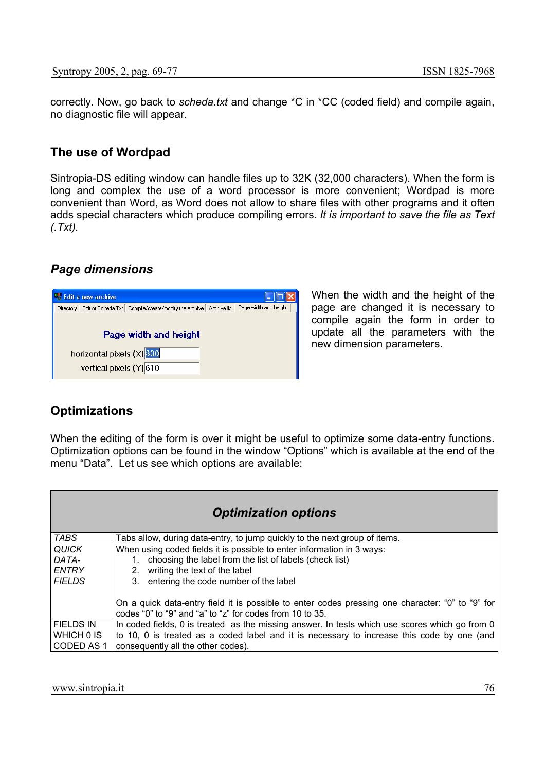correctly. Now, go back to *scheda.txt* and change \*C in \*CC (coded field) and compile again, no diagnostic file will appear.

#### **The use of Wordpad**

Sintropia-DS editing window can handle files up to 32K (32,000 characters). When the form is long and complex the use of a word processor is more convenient; Wordpad is more convenient than Word, as Word does not allow to share files with other programs and it often adds special characters which produce compiling errors. *It is important to save the file as Text (.Txt).* 

#### *Page dimensions*

| <b>Edit a new archive</b>                                                            |                       |
|--------------------------------------------------------------------------------------|-----------------------|
| Edit of Scheda.Txt<br>Archive list<br>Compile/create/modify the archive<br>Directory | Page width and height |
| Page width and height                                                                |                       |
| horizontal pixels $(X)$ 800                                                          |                       |
| vertical pixels (Y) 610                                                              |                       |

When the width and the height of the page are changed it is necessary to compile again the form in order to update all the parameters with the new dimension parameters.

## **Optimizations**

When the editing of the form is over it might be useful to optimize some data-entry functions. Optimization options can be found in the window "Options" which is available at the end of the menu "Data". Let us see which options are available:

|                  | <b>Optimization options</b>                                                                                                                                  |
|------------------|--------------------------------------------------------------------------------------------------------------------------------------------------------------|
| <b>TABS</b>      | Tabs allow, during data-entry, to jump quickly to the next group of items.                                                                                   |
| <b>QUICK</b>     | When using coded fields it is possible to enter information in 3 ways:                                                                                       |
| DATA-            | choosing the label from the list of labels (check list)                                                                                                      |
| <b>ENTRY</b>     | writing the text of the label<br>2 <sub>1</sub>                                                                                                              |
| <b>FIELDS</b>    | 3. entering the code number of the label                                                                                                                     |
|                  | On a quick data-entry field it is possible to enter codes pressing one character: "0" to "9" for<br>codes "0" to "9" and "a" to "z" for codes from 10 to 35. |
| <b>FIELDS IN</b> | In coded fields, 0 is treated as the missing answer. In tests which use scores which go from 0                                                               |
| WHICH 0 IS       | to 10, 0 is treated as a coded label and it is necessary to increase this code by one (and                                                                   |
| CODED AS 1       | consequently all the other codes).                                                                                                                           |